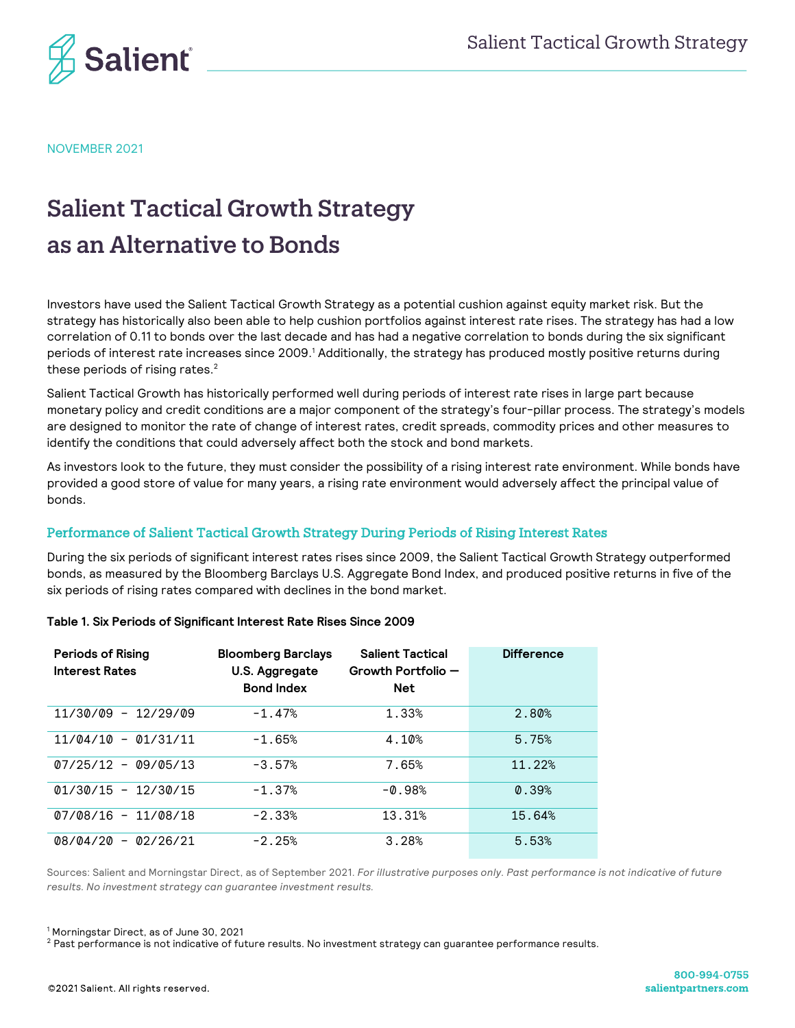

NOVEMBER 2021

# Salient Tactical Growth Strategy as an Alternative to Bonds

Investors have used the Salient Tactical Growth Strategy as a potential cushion against equity market risk. But the strategy has historically also been able to help cushion portfolios against interest rate rises. The strategy has had a low correlation of 0.11 to bonds over the last decade and has had a negative correlation to bonds during the six significant periods of interest rate increases since 2009.<sup>1</sup> Additionally, the strategy has produced mostly positive returns during these periods of rising rates. $^2$ 

Salient Tactical Growth has historically performed well during periods of interest rate rises in large part because monetary policy and credit conditions are a major component of the strategy's four-pillar process. The strategy's models are designed to monitor the rate of change of interest rates, credit spreads, commodity prices and other measures to identify the conditions that could adversely affect both the stock and bond markets.

As investors look to the future, they must consider the possibility of a rising interest rate environment. While bonds have provided a good store of value for many years, a rising rate environment would adversely affect the principal value of bonds.

## Performance of Salient Tactical Growth Strategy During Periods of Rising Interest Rates

During the six periods of significant interest rates rises since 2009, the Salient Tactical Growth Strategy outperformed bonds, as measured by the Bloomberg Barclays U.S. Aggregate Bond Index, and produced positive returns in five of the six periods of rising rates compared with declines in the bond market.

| <b>Periods of Rising</b><br><b>Interest Rates</b> | <b>Bloomberg Barclays</b><br>U.S. Aggregate<br><b>Bond Index</b> | <b>Salient Tactical</b><br>Growth Portfolio -<br><b>Net</b> | <b>Difference</b> |
|---------------------------------------------------|------------------------------------------------------------------|-------------------------------------------------------------|-------------------|
| 11/30/09 - 12/29/09                               | $-1.47%$                                                         | 1.33%                                                       | 2.80%             |
| $11/04/10 - 01/31/11$                             | $-1.65%$                                                         | 4.10%                                                       | 5.75%             |
| $07/25/12 - 09/05/13$                             | $-3.57%$                                                         | 7.65%                                                       | 11.22%            |
| $01/30/15 - 12/30/15$                             | $-1.37%$                                                         | $-0.98%$                                                    | 0.39%             |
| $07/08/16 - 11/08/18$                             | $-2.33%$                                                         | 13.31%                                                      | 15.64%            |
| $08/04/20 - 02/26/21$                             | $-2.25%$                                                         | 3.28%                                                       | 5.53%             |

### **Table 1. Six Periods of Significant Interest Rate Rises Since 2009**

Sources: Salient and Morningstar Direct, as of September 2021. *For illustrative purposes only. Past performance is not indicative of future results. No investment strategy can guarantee investment results.*

<sup>1</sup> Morningstar Direct, as of June 30, 2021

<sup>2</sup> Past performance is not indicative of future results. No investment strategy can guarantee performance results.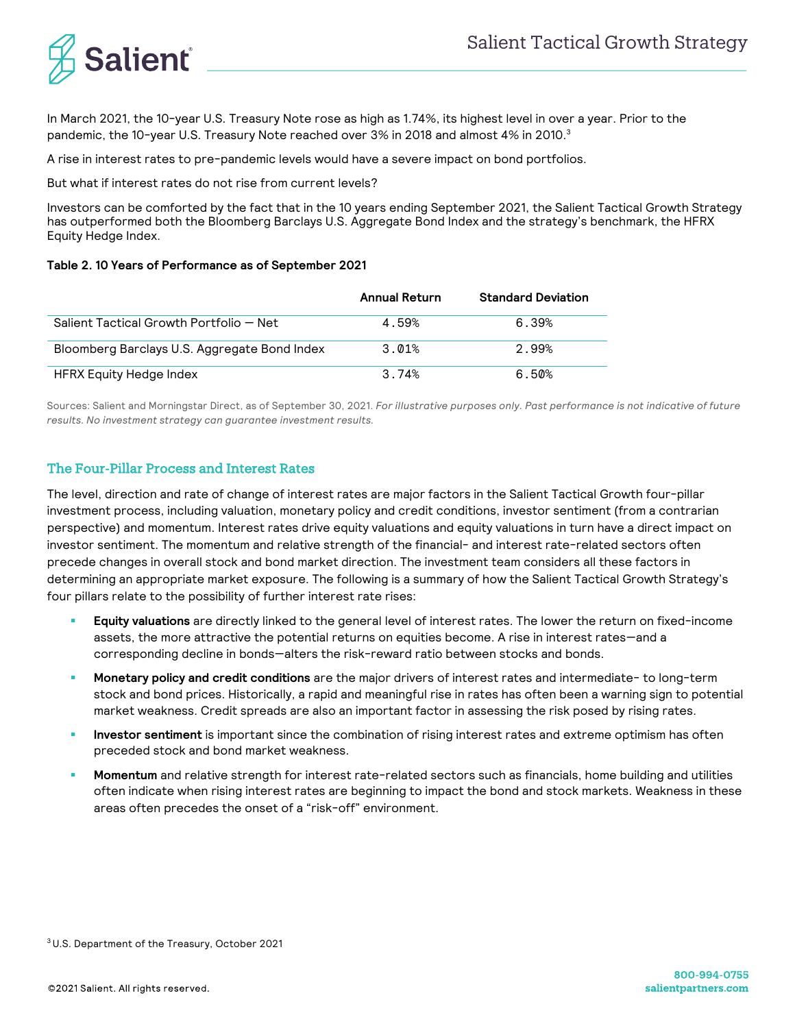

In March 2021, the 10-year U.S. Treasury Note rose as high as 1.74%, its highest level in over a year. Prior to the pandemic, the 10-year U.S. Treasury Note reached over 3% in 2018 and almost 4% in 2010.<sup>3</sup>

A rise in interest rates to pre-pandemic levels would have a severe impact on bond portfolios.

But what if interest rates do not rise from current levels?

Investors can be comforted by the fact that in the 10 years ending September 2021, the Salient Tactical Growth Strategy has outperformed both the Bloomberg Barclays U.S. Aggregate Bond Index and the strategy's benchmark, the HFRX Equity Hedge Index.

#### **Table 2. 10 Years of Performance as of September 2021**

|                                              | Annual Return | <b>Standard Deviation</b> |
|----------------------------------------------|---------------|---------------------------|
| Salient Tactical Growth Portfolio – Net      | 4.59%         | 6.39%                     |
| Bloomberg Barclays U.S. Aggregate Bond Index | 3.01%         | 2.99%                     |
| HFRX Equity Hedge Index                      | 3.74%         | 6.50%                     |

Sources: Salient and Morningstar Direct, as of September 30, 2021. *For illustrative purposes only. Past performance is not indicative of future results. No investment strategy can guarantee investment results.*

## The Four-Pillar Process and Interest Rates

The level, direction and rate of change of interest rates are major factors in the Salient Tactical Growth four-pillar investment process, including valuation, monetary policy and credit conditions, investor sentiment (from a contrarian perspective) and momentum. Interest rates drive equity valuations and equity valuations in turn have a direct impact on investor sentiment. The momentum and relative strength of the financial- and interest rate-related sectors often precede changes in overall stock and bond market direction. The investment team considers all these factors in determining an appropriate market exposure. The following is a summary of how the Salient Tactical Growth Strategy's four pillars relate to the possibility of further interest rate rises:

- ! **Equity valuations** are directly linked to the general level of interest rates. The lower the return on fixed-income assets, the more attractive the potential returns on equities become. A rise in interest rates—and a corresponding decline in bonds—alters the risk-reward ratio between stocks and bonds.
- ! **Monetary policy and credit conditions** are the major drivers of interest rates and intermediate- to long-term stock and bond prices. Historically, a rapid and meaningful rise in rates has often been a warning sign to potential market weakness. Credit spreads are also an important factor in assessing the risk posed by rising rates.
- Investor sentiment is important since the combination of rising interest rates and extreme optimism has often preceded stock and bond market weakness.
- ! **Momentum** and relative strength for interest rate-related sectors such as financials, home building and utilities often indicate when rising interest rates are beginning to impact the bond and stock markets. Weakness in these areas often precedes the onset of a "risk-off" environment.

3 U.S. Department of the Treasury, October 2021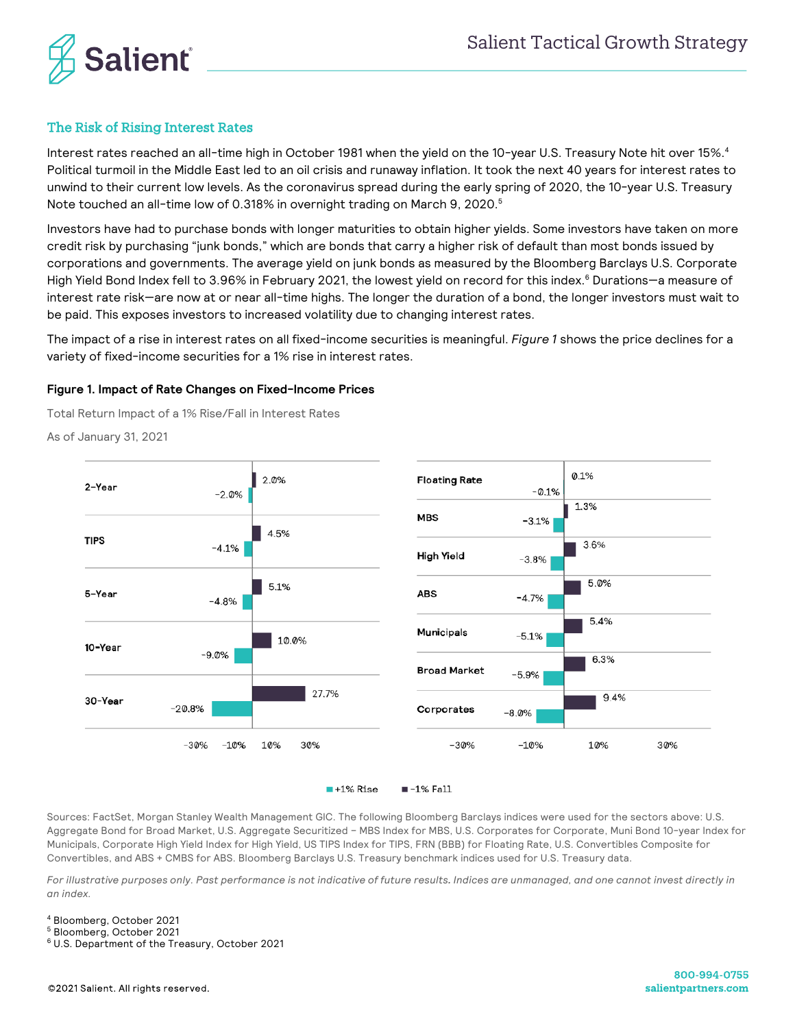

## The Risk of Rising Interest Rates

Interest rates reached an all-time high in October 1981 when the yield on the 10-year U.S. Treasury Note hit over 15%.4 Political turmoil in the Middle East led to an oil crisis and runaway inflation. It took the next 40 years for interest rates to unwind to their current low levels. As the coronavirus spread during the early spring of 2020, the 10-year U.S. Treasury Note touched an all-time low of 0.318% in overnight trading on March 9, 2020.<sup>5</sup>

Investors have had to purchase bonds with longer maturities to obtain higher yields. Some investors have taken on more credit risk by purchasing "junk bonds," which are bonds that carry a higher risk of default than most bonds issued by corporations and governments. The average yield on junk bonds as measured by the Bloomberg Barclays U.S. Corporate High Yield Bond Index fell to 3.96% in February 2021, the lowest yield on record for this index.<sup>6</sup> Durations—a measure of interest rate risk—are now at or near all-time highs. The longer the duration of a bond, the longer investors must wait to be paid. This exposes investors to increased volatility due to changing interest rates.

The impact of a rise in interest rates on all fixed-income securities is meaningful. *Figure 1* shows the price declines for a variety of fixed-income securities for a 1% rise in interest rates.

#### **Figure 1. Impact of Rate Changes on Fixed-Income Prices**

Total Return Impact of a 1% Rise/Fall in Interest Rates

As of January 31, 2021



 $+1\%$  Rise  $-1\%$  Fall

Sources: FactSet, Morgan Stanley Wealth Management GIC. The following Bloomberg Barclays indices were used for the sectors above: U.S. Aggregate Bond for Broad Market, U.S. Aggregate Securitized – MBS Index for MBS, U.S. Corporates for Corporate, Muni Bond 10-year Index for Municipals, Corporate High Yield Index for High Yield, US TIPS Index for TIPS, FRN (BBB) for Floating Rate, U.S. Convertibles Composite for Convertibles, and ABS + CMBS for ABS. Bloomberg Barclays U.S. Treasury benchmark indices used for U.S. Treasury data.

*For illustrative purposes only. Past performance is not indicative of future results. Indices are unmanaged, and one cannot invest directly in an index.*

<sup>4</sup> Bloomberg, October 2021

<sup>5</sup> Bloomberg, October 2021

<sup>6</sup> U.S. Department of the Treasury, October 2021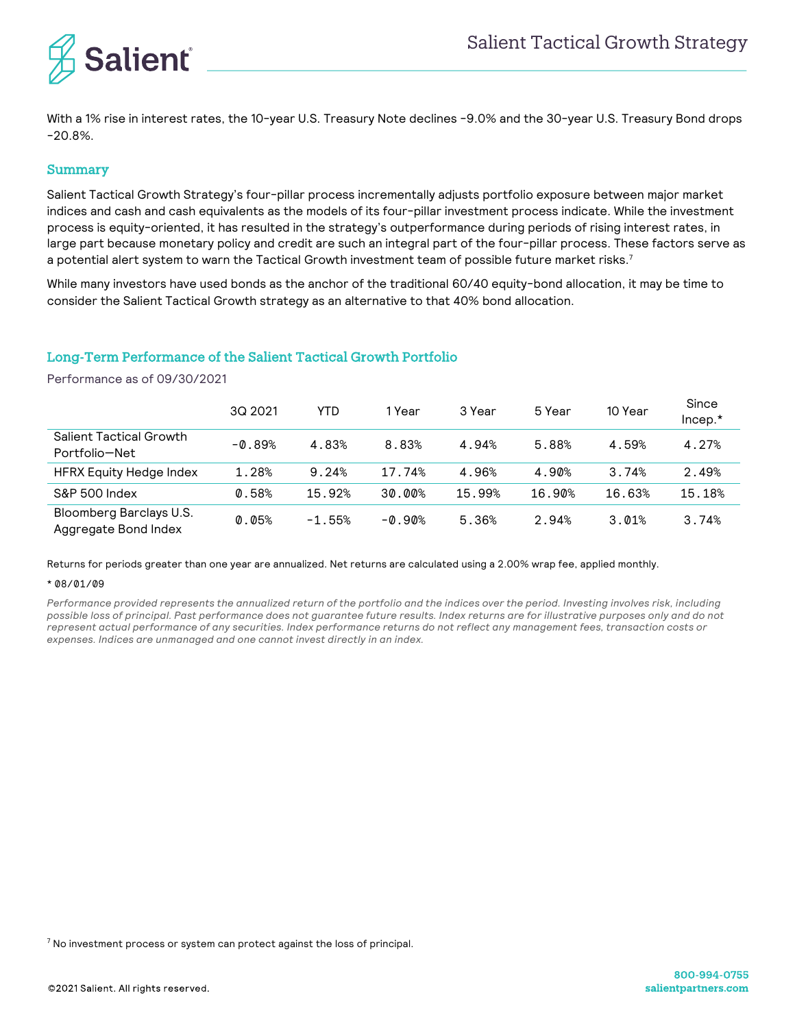

With a 1% rise in interest rates, the 10-year U.S. Treasury Note declines -9.0% and the 30-year U.S. Treasury Bond drops -20.8%.

#### Summary

Salient Tactical Growth Strategy's four-pillar process incrementally adjusts portfolio exposure between major market indices and cash and cash equivalents as the models of its four-pillar investment process indicate. While the investment process is equity-oriented, it has resulted in the strategy's outperformance during periods of rising interest rates, in large part because monetary policy and credit are such an integral part of the four-pillar process. These factors serve as a potential alert system to warn the Tactical Growth investment team of possible future market risks.7

While many investors have used bonds as the anchor of the traditional 60/40 equity-bond allocation, it may be time to consider the Salient Tactical Growth strategy as an alternative to that 40% bond allocation.

## Long-Term Performance of the Salient Tactical Growth Portfolio

Performance as of 09/30/2021

|                                                 | 3Q 2021  | YTD      | 1 Year   | 3 Year | 5 Year | 10 Year | Since<br>$Incep.*$ |
|-------------------------------------------------|----------|----------|----------|--------|--------|---------|--------------------|
| Salient Tactical Growth<br>Portfolio-Net        | $-0.89%$ | 4.83%    | 8.83%    | 4.94%  | 5.88%  | 4.59%   | 4.27%              |
| <b>HFRX Equity Hedge Index</b>                  | 1.28%    | 9.24%    | 17.74%   | 4.96%  | 4.90%  | 3.74%   | 2.49%              |
| S&P 500 Index                                   | 0.58%    | 15.92%   | 30.00%   | 15.99% | 16.90% | 16.63%  | 15.18%             |
| Bloomberg Barclays U.S.<br>Aggregate Bond Index | 0.05%    | $-1.55%$ | $-0.90%$ | 5.36%  | 2.94%  | 3.01%   | 3.74%              |

Returns for periods greater than one year are annualized. Net returns are calculated using a 2.00% wrap fee, applied monthly.

#### \* 08/01/09

*Performance provided represents the annualized return of the portfolio and the indices over the period. Investing involves risk, including possible loss of principal. Past performance does not guarantee future results. Index returns are for illustrative purposes only and do not represent actual performance of any securities. Index performance returns do not reflect any management fees, transaction costs or expenses. Indices are unmanaged and one cannot invest directly in an index.*

 $<sup>7</sup>$  No investment process or system can protect against the loss of principal.</sup>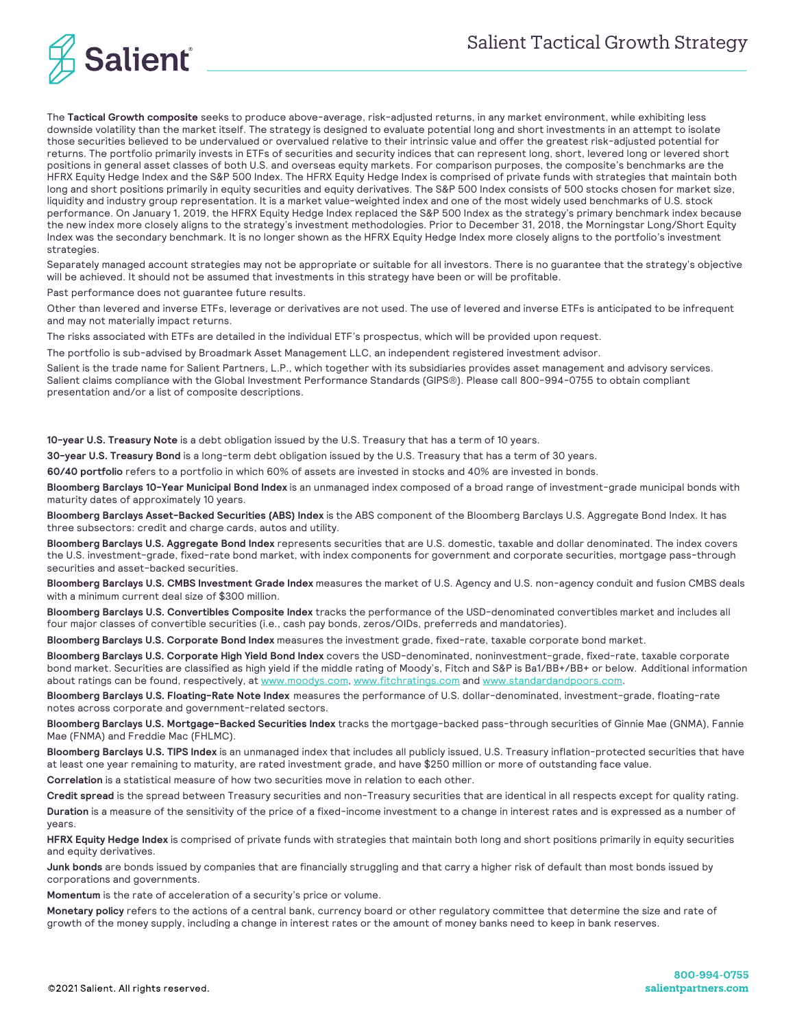

The **Tactical Growth composite** seeks to produce above-average, risk-adjusted returns, in any market environment, while exhibiting less downside volatility than the market itself. The strategy is designed to evaluate potential long and short investments in an attempt to isolate those securities believed to be undervalued or overvalued relative to their intrinsic value and offer the greatest risk-adjusted potential for returns. The portfolio primarily invests in ETFs of securities and security indices that can represent long, short, levered long or levered short positions in general asset classes of both U.S. and overseas equity markets. For comparison purposes, the composite's benchmarks are the HFRX Equity Hedge Index and the S&P 500 Index. The HFRX Equity Hedge Index is comprised of private funds with strategies that maintain both long and short positions primarily in equity securities and equity derivatives. The S&P 500 Index consists of 500 stocks chosen for market size, liquidity and industry group representation. It is a market value-weighted index and one of the most widely used benchmarks of U.S. stock performance. On January 1, 2019, the HFRX Equity Hedge Index replaced the S&P 500 Index as the strategy's primary benchmark index because the new index more closely aligns to the strategy's investment methodologies. Prior to December 31, 2018, the Morningstar Long/Short Equity Index was the secondary benchmark. It is no longer shown as the HFRX Equity Hedge Index more closely aligns to the portfolio's investment strategies.

Separately managed account strategies may not be appropriate or suitable for all investors. There is no guarantee that the strategy's objective will be achieved. It should not be assumed that investments in this strategy have been or will be profitable.

Past performance does not guarantee future results.

Other than levered and inverse ETFs, leverage or derivatives are not used. The use of levered and inverse ETFs is anticipated to be infrequent and may not materially impact returns.

The risks associated with ETFs are detailed in the individual ETF's prospectus, which will be provided upon request.

The portfolio is sub-advised by Broadmark Asset Management LLC, an independent registered investment advisor.

Salient is the trade name for Salient Partners, L.P., which together with its subsidiaries provides asset management and advisory services. Salient claims compliance with the Global Investment Performance Standards (GIPS®). Please call 800-994-0755 to obtain compliant presentation and/or a list of composite descriptions.

**10-year U.S. Treasury Note** is a debt obligation issued by the U.S. Treasury that has a term of 10 years.

**30-year U.S. Treasury Bond** is a long-term debt obligation issued by the U.S. Treasury that has a term of 30 years.

**60/40 portfolio** refers to a portfolio in which 60% of assets are invested in stocks and 40% are invested in bonds.

**Bloomberg Barclays 10-Year Municipal Bond Index** is an unmanaged index composed of a broad range of investment-grade municipal bonds with maturity dates of approximately 10 years.

**Bloomberg Barclays Asset-Backed Securities (ABS) Index** is the ABS component of the Bloomberg Barclays U.S. Aggregate Bond Index. It has three subsectors: credit and charge cards, autos and utility.

**Bloomberg Barclays U.S. Aggregate Bond Index** represents securities that are U.S. domestic, taxable and dollar denominated. The index covers the U.S. investment-grade, fixed-rate bond market, with index components for government and corporate securities, mortgage pass-through securities and asset-backed securities.

**Bloomberg Barclays U.S. CMBS Investment Grade Index** measures the market of U.S. Agency and U.S. non-agency conduit and fusion CMBS deals with a minimum current deal size of \$300 million.

**Bloomberg Barclays U.S. Convertibles Composite Index** tracks the performance of the USD-denominated convertibles market and includes all four major classes of convertible securities (i.e., cash pay bonds, zeros/OIDs, preferreds and mandatories).

**Bloomberg Barclays U.S. Corporate Bond Index** measures the investment grade, fixed-rate, taxable corporate bond market.

**Bloomberg Barclays U.S. Corporate High Yield Bond Index** covers the USD-denominated, noninvestment-grade, fixed-rate, taxable corporate bond market. Securities are classified as high yield if the middle rating of Moody's, Fitch and S&P is Ba1/BB+/BB+ or below. Additional information about ratings can be found, respectively, at www.moodys.com, www.fitchratings.com and www.standardandpoors.com.

**Bloomberg Barclays U.S. Floating-Rate Note Index** measures the performance of U.S. dollar-denominated, investment-grade, floating-rate notes across corporate and government-related sectors.

**Bloomberg Barclays U.S. Mortgage-Backed Securities Index** tracks the mortgage-backed pass-through securities of Ginnie Mae (GNMA), Fannie Mae (FNMA) and Freddie Mac (FHLMC).

**Bloomberg Barclays U.S. TIPS Index** is an unmanaged index that includes all publicly issued, U.S. Treasury inflation-protected securities that have at least one year remaining to maturity, are rated investment grade, and have \$250 million or more of outstanding face value.

**Correlation** is a statistical measure of how two securities move in relation to each other.

**Credit spread** is the spread between Treasury securities and non-Treasury securities that are identical in all respects except for quality rating. **Duration** is a measure of the sensitivity of the price of a fixed-income investment to a change in interest rates and is expressed as a number of years.

**HFRX Equity Hedge Index** is comprised of private funds with strategies that maintain both long and short positions primarily in equity securities and equity derivatives.

**Junk bonds** are bonds issued by companies that are financially struggling and that carry a higher risk of default than most bonds issued by corporations and governments.

**Momentum** is the rate of acceleration of a security's price or volume.

**Monetary policy** refers to the actions of a central bank, currency board or other regulatory committee that determine the size and rate of growth of the money supply, including a change in interest rates or the amount of money banks need to keep in bank reserves.